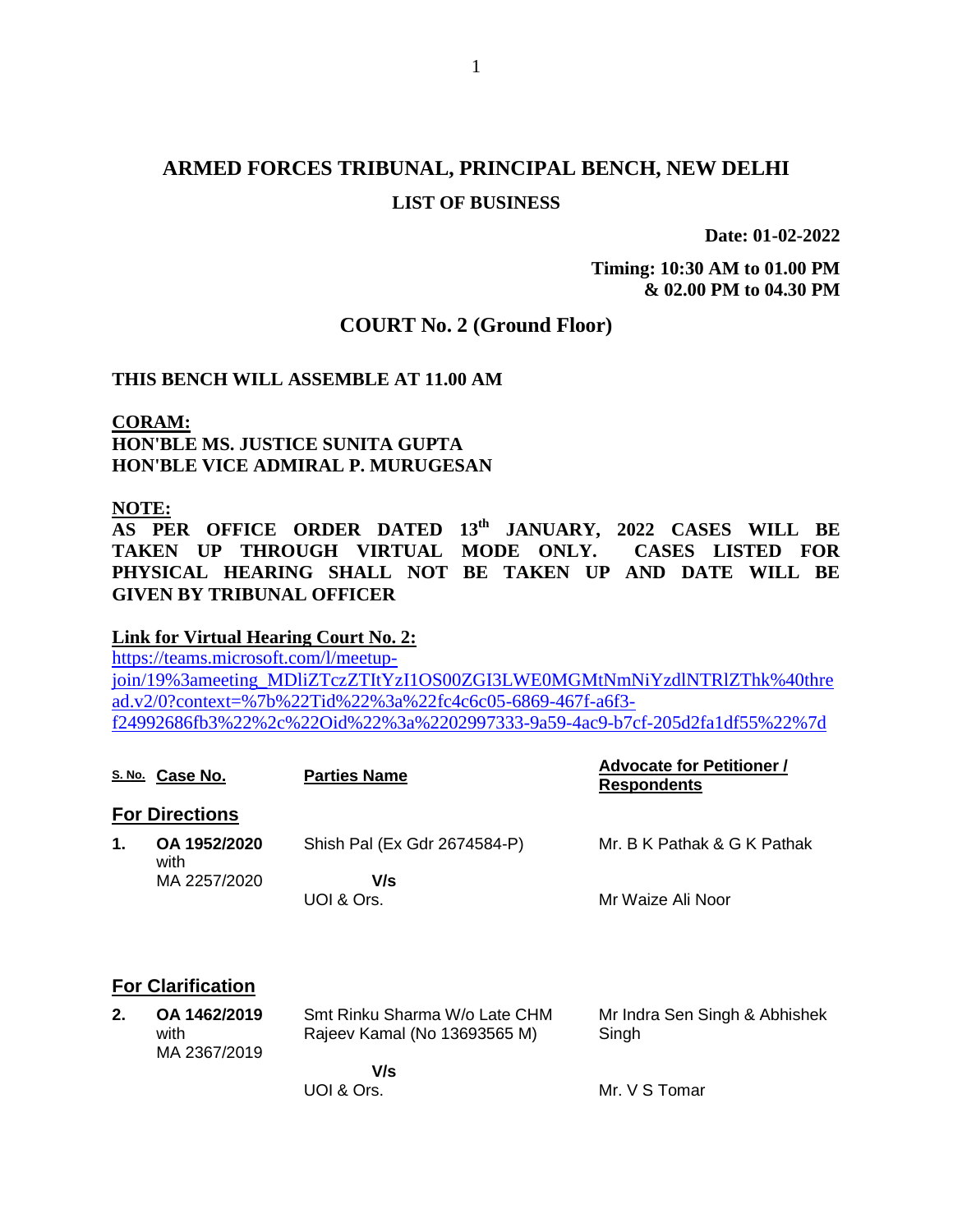# **ARMED FORCES TRIBUNAL, PRINCIPAL BENCH, NEW DELHI LIST OF BUSINESS**

**Date: 01-02-2022**

**Timing: 10:30 AM to 01.00 PM & 02.00 PM to 04.30 PM**

### **COURT No. 2 (Ground Floor)**

### **THIS BENCH WILL ASSEMBLE AT 11.00 AM**

### **CORAM: HON'BLE MS. JUSTICE SUNITA GUPTA HON'BLE VICE ADMIRAL P. MURUGESAN**

## **NOTE:**

**AS PER OFFICE ORDER DATED 13th JANUARY, 2022 CASES WILL BE TAKEN UP THROUGH VIRTUAL MODE ONLY. CASES LISTED FOR PHYSICAL HEARING SHALL NOT BE TAKEN UP AND DATE WILL BE GIVEN BY TRIBUNAL OFFICER**

### **Link for Virtual Hearing Court No. 2:**

[https://teams.microsoft.com/l/meetup](https://teams.microsoft.com/l/meetup-join/19%3ameeting_MDliZTczZTItYzI1OS00ZGI3LWE0MGMtNmNiYzdlNTRlZThk%40thread.v2/0?context=%7b%22Tid%22%3a%22fc4c6c05-6869-467f-a6f3-f24992686fb3%22%2c%22Oid%22%3a%2202997333-9a59-4ac9-b7cf-205d2fa1df55%22%7d)[join/19%3ameeting\\_MDliZTczZTItYzI1OS00ZGI3LWE0MGMtNmNiYzdlNTRlZThk%40thre](https://teams.microsoft.com/l/meetup-join/19%3ameeting_MDliZTczZTItYzI1OS00ZGI3LWE0MGMtNmNiYzdlNTRlZThk%40thread.v2/0?context=%7b%22Tid%22%3a%22fc4c6c05-6869-467f-a6f3-f24992686fb3%22%2c%22Oid%22%3a%2202997333-9a59-4ac9-b7cf-205d2fa1df55%22%7d) [ad.v2/0?context=%7b%22Tid%22%3a%22fc4c6c05-6869-467f-a6f3](https://teams.microsoft.com/l/meetup-join/19%3ameeting_MDliZTczZTItYzI1OS00ZGI3LWE0MGMtNmNiYzdlNTRlZThk%40thread.v2/0?context=%7b%22Tid%22%3a%22fc4c6c05-6869-467f-a6f3-f24992686fb3%22%2c%22Oid%22%3a%2202997333-9a59-4ac9-b7cf-205d2fa1df55%22%7d) [f24992686fb3%22%2c%22Oid%22%3a%2202997333-9a59-4ac9-b7cf-205d2fa1df55%22%7d](https://teams.microsoft.com/l/meetup-join/19%3ameeting_MDliZTczZTItYzI1OS00ZGI3LWE0MGMtNmNiYzdlNTRlZThk%40thread.v2/0?context=%7b%22Tid%22%3a%22fc4c6c05-6869-467f-a6f3-f24992686fb3%22%2c%22Oid%22%3a%2202997333-9a59-4ac9-b7cf-205d2fa1df55%22%7d)

|                      | <b>Parties Name</b>                      | <b>Advocate for Petitioner /</b><br><b>Respondents</b> |
|----------------------|------------------------------------------|--------------------------------------------------------|
|                      |                                          |                                                        |
| OA 1952/2020<br>with | Shish Pal (Ex Gdr 2674584-P)             | Mr. B K Pathak & G K Pathak                            |
| MA 2257/2020         | V/s<br>UOI & Ors.                        | Mr Waize Ali Noor                                      |
|                      | S. No. Case No.<br><b>For Directions</b> |                                                        |

### **For Clarification**

| OA 1462/2019 | Smt Rinku Sharma W/o Late CHM | Mr Indra Sen Singh & Abhishek |
|--------------|-------------------------------|-------------------------------|
| with         | Rajeev Kamal (No 13693565 M)  | Singh                         |
| MA 2367/2019 |                               |                               |
|              | V/s                           |                               |
|              | UOI & Ors.                    | Mr. V S Tomar                 |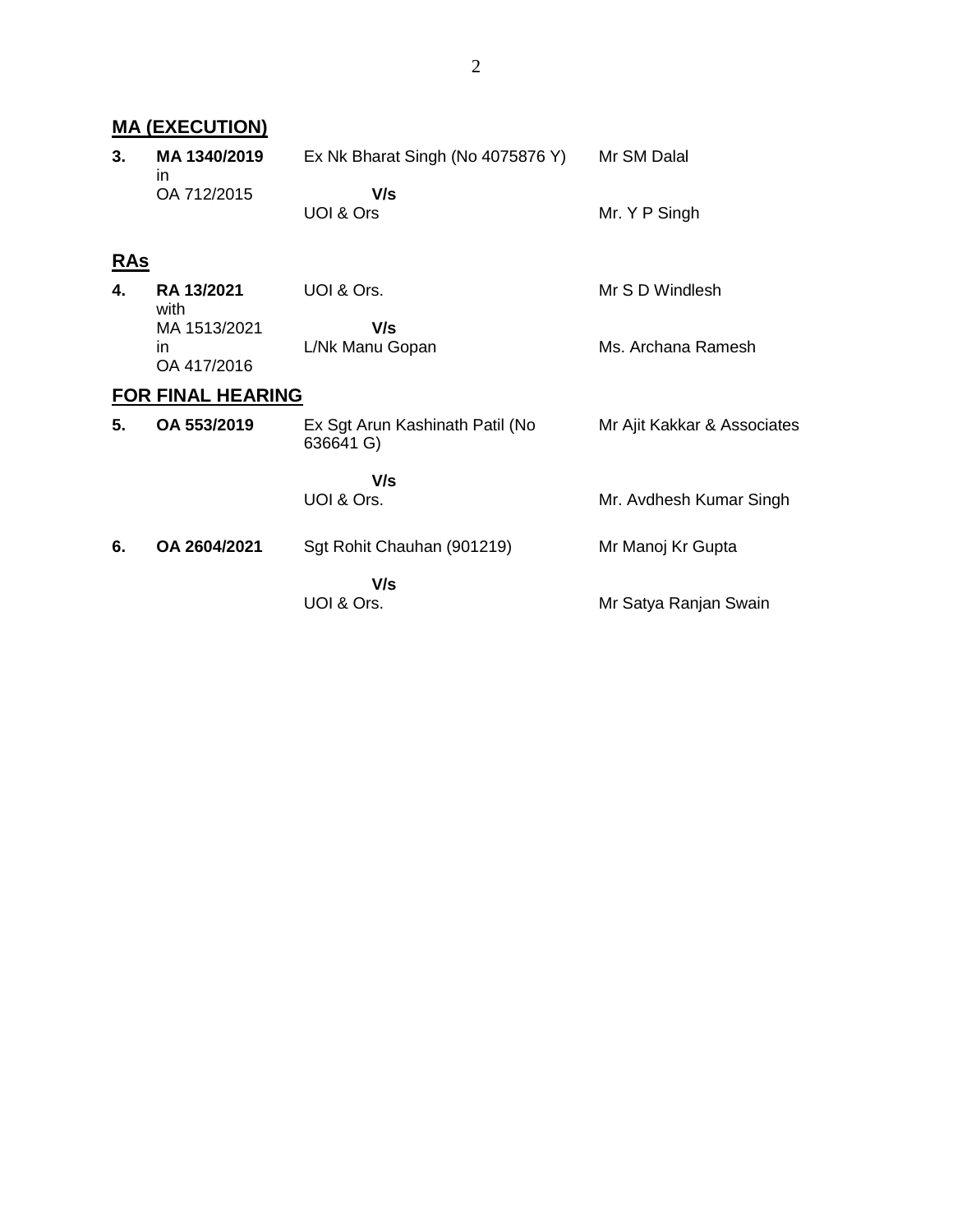| <b>MA (EXECUTION)</b>    |                                    |                                              |                             |  |  |
|--------------------------|------------------------------------|----------------------------------------------|-----------------------------|--|--|
| 3.                       | MA 1340/2019<br>in.                | Ex Nk Bharat Singh (No 4075876 Y)            | Mr SM Dalal                 |  |  |
|                          | OA 712/2015                        | V/s<br>UOI & Ors                             | Mr. Y P Singh               |  |  |
| <u>RAs</u>               |                                    |                                              |                             |  |  |
| 4.                       | RA 13/2021<br>with                 | UOI & Ors.                                   | Mr S D Windlesh             |  |  |
|                          | MA 1513/2021<br>in.<br>OA 417/2016 | V/s<br>L/Nk Manu Gopan                       | Ms. Archana Ramesh          |  |  |
| <b>FOR FINAL HEARING</b> |                                    |                                              |                             |  |  |
| 5.                       | OA 553/2019                        | Ex Sgt Arun Kashinath Patil (No<br>636641 G) | Mr Ajit Kakkar & Associates |  |  |
|                          |                                    | V/s                                          |                             |  |  |
|                          |                                    | UOI & Ors.                                   | Mr. Avdhesh Kumar Singh     |  |  |
| 6.                       | OA 2604/2021                       | Sgt Rohit Chauhan (901219)                   | Mr Manoj Kr Gupta           |  |  |
|                          |                                    | V/s<br>UOI & Ors.                            | Mr Satya Ranjan Swain       |  |  |